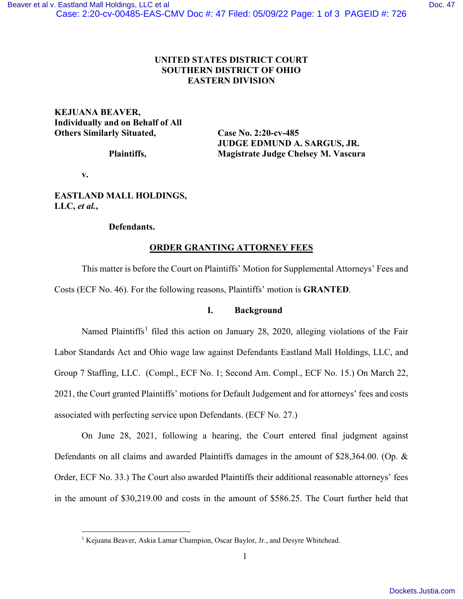# **UNITED STATES DISTRICT COURT SOUTHERN DISTRICT OF OHIO EASTERN DIVISION**

## **KEJUANA BEAVER, Individually and on Behalf of All Others Similarly Situated, Case No. 2:20-cv-485**

 **JUDGE EDMUND A. SARGUS, JR. Plaintiffs, Magistrate Judge Chelsey M. Vascura**

**v.** 

## **EASTLAND MALL HOLDINGS, LLC,** *et al.***,**

### **Defendants.**

# **ORDER GRANTING ATTORNEY FEES**

This matter is before the Court on Plaintiffs' Motion for Supplemental Attorneys' Fees and Costs (ECF No. 46). For the following reasons, Plaintiffs' motion is **GRANTED**.

## **I. Background**

Named Plaintiffs<sup>[1](#page-0-0)</sup> filed this action on January 28, 2020, alleging violations of the Fair Labor Standards Act and Ohio wage law against Defendants Eastland Mall Holdings, LLC, and Group 7 Staffing, LLC. (Compl., ECF No. 1; Second Am. Compl., ECF No. 15.) On March 22, 2021, the Court granted Plaintiffs' motions for Default Judgement and for attorneys' fees and costs associated with perfecting service upon Defendants. (ECF No. 27.)

On June 28, 2021, following a hearing, the Court entered final judgment against Defendants on all claims and awarded Plaintiffs damages in the amount of \$28,364.00. (Op. & Order, ECF No. 33.) The Court also awarded Plaintiffs their additional reasonable attorneys' fees in the amount of \$30,219.00 and costs in the amount of \$586.25. The Court further held that

<span id="page-0-0"></span><sup>&</sup>lt;sup>1</sup> Kejuana Beaver, Askia Lamar Champion, Oscar Baylor, Jr., and Desyre Whitehead.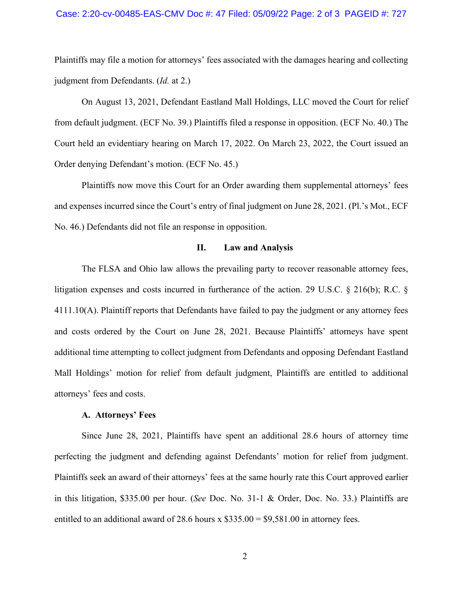### Case: 2:20-cv-00485-EAS-CMV Doc #: 47 Filed: 05/09/22 Page: 2 of 3 PAGEID #: 727

Plaintiffs may file a motion for attorneys' fees associated with the damages hearing and collecting judgment from Defendants. (*Id.* at 2.)

On August 13, 2021, Defendant Eastland Mall Holdings, LLC moved the Court for relief from default judgment. (ECF No. 39.) Plaintiffs filed a response in opposition. (ECF No. 40.) The Court held an evidentiary hearing on March 17, 2022. On March 23, 2022, the Court issued an Order denying Defendant's motion. (ECF No. 45.)

Plaintiffs now move this Court for an Order awarding them supplemental attorneys' fees and expenses incurred since the Court's entry of final judgment on June 28, 2021. (Pl.'s Mot., ECF No. 46.) Defendants did not file an response in opposition.

### **II. Law and Analysis**

The FLSA and Ohio law allows the prevailing party to recover reasonable attorney fees, litigation expenses and costs incurred in furtherance of the action. 29 U.S.C. § 216(b); R.C. § 4111.10(A). Plaintiff reports that Defendants have failed to pay the judgment or any attorney fees and costs ordered by the Court on June 28, 2021. Because Plaintiffs' attorneys have spent additional time attempting to collect judgment from Defendants and opposing Defendant Eastland Mall Holdings' motion for relief from default judgment, Plaintiffs are entitled to additional attorneys' fees and costs.

#### **A. Attorneys' Fees**

Since June 28, 2021, Plaintiffs have spent an additional 28.6 hours of attorney time perfecting the judgment and defending against Defendants' motion for relief from judgment. Plaintiffs seek an award of their attorneys' fees at the same hourly rate this Court approved earlier in this litigation, \$335.00 per hour. (*See* Doc. No. 31-1 & Order, Doc. No. 33.) Plaintiffs are entitled to an additional award of 28.6 hours x  $$335.00 = $9,581.00$  in attorney fees.